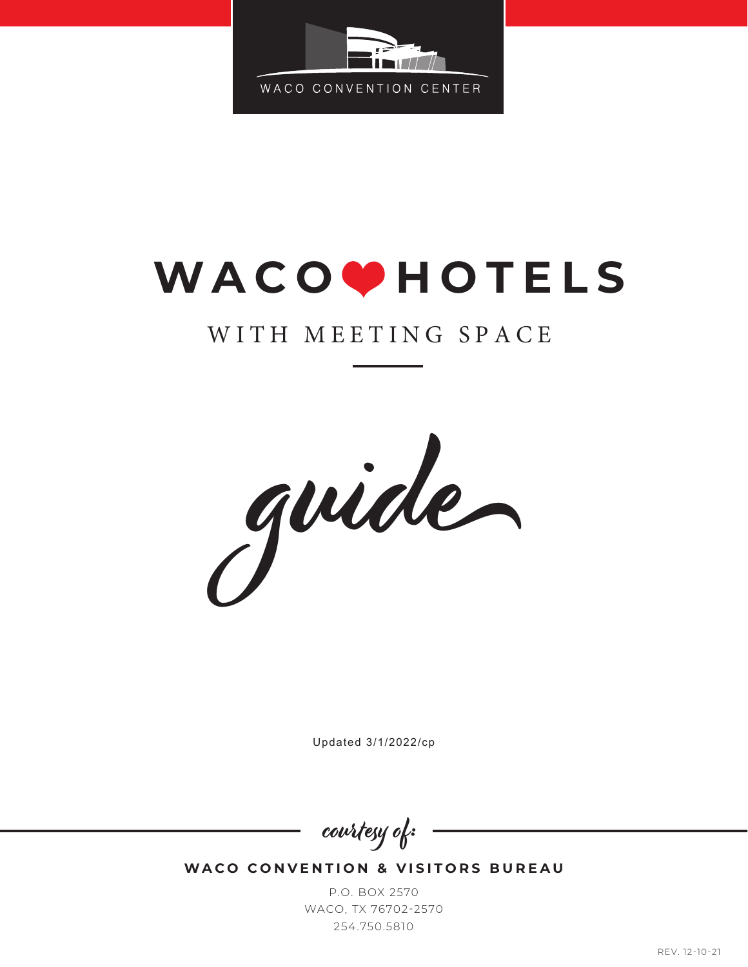

# WACO<sup>O</sup>HOTELS

## WITH MEETING SPACE



Updated 3/1/2022/cp

courtesy of:

**WACO CONVENTION & VISITORS BUREAU** 

P.O. BOX 2570 WACO, TX 76702-2570 254.750.5810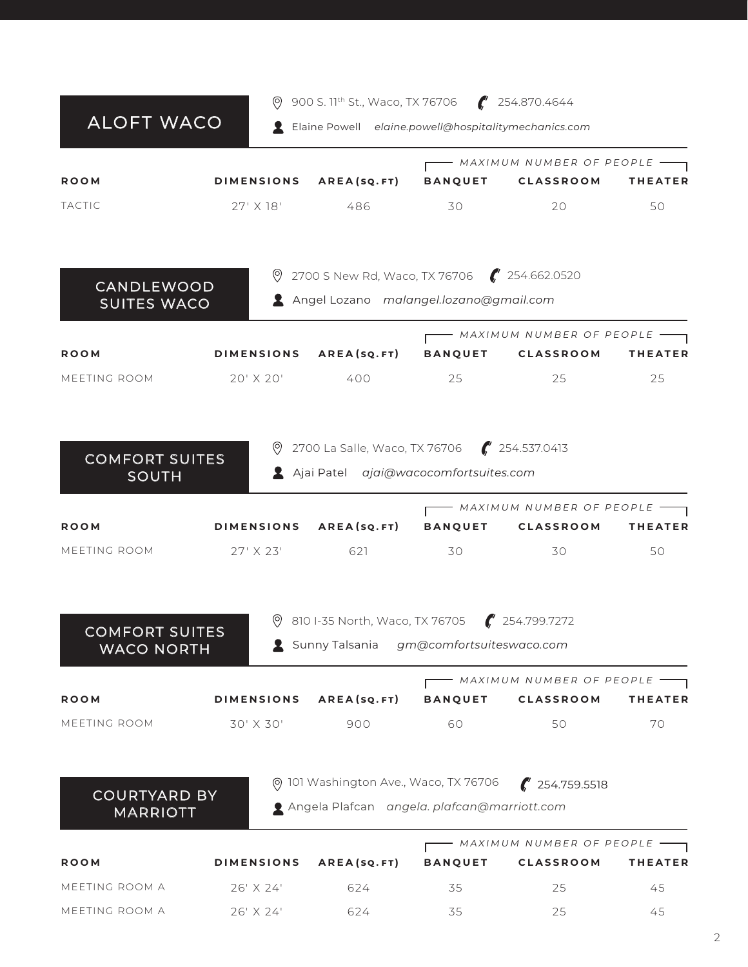|                                        |                   | 900 S. 11 <sup>th</sup> St., Waco, TX 76706 $\sqrt{7}$ 254.870.4644 |                |                                                            |                |
|----------------------------------------|-------------------|---------------------------------------------------------------------|----------------|------------------------------------------------------------|----------------|
| <b>ALOFT WACO</b>                      |                   | Laine Powell elaine.powell@hospitalitymechanics.com                 |                |                                                            |                |
|                                        |                   |                                                                     |                | - MAXIMUM NUMBER OF PEOPLE                                 |                |
| <b>ROOM</b>                            | <b>DIMENSIONS</b> | <b>AREA(SQ.FT)</b>                                                  | <b>BANQUET</b> | <b>CLASSROOM</b>                                           | <b>THEATER</b> |
| <b>TACTIC</b>                          | 27' X 18'         | 486                                                                 | 30             | 20                                                         | 50             |
| <b>CANDLEWOOD</b>                      |                   | 9 2700 S New Rd, Waco, TX 76706 (254.662.0520                       |                |                                                            |                |
| <b>SUITES WACO</b>                     |                   | Angel Lozano malangel.lozano@gmail.com                              |                |                                                            |                |
|                                        |                   |                                                                     |                | - MAXIMUM NUMBER OF PEOPLE $\hspace{0.1mm}-\hspace{0.1mm}$ |                |
| <b>ROOM</b>                            |                   |                                                                     |                | DIMENSIONS AREA(SQ.FT) BANQUET CLASSROOM                   | <b>THEATER</b> |
| MEETING ROOM                           | 20' X 20'         | 400                                                                 | 25             | 25                                                         | 25             |
|                                        |                   | 2700 La Salle, Waco, TX 76706 ( 254.537.0413                        |                |                                                            |                |
| <b>COMFORT SUITES</b><br><b>SOUTH</b>  |                   | Ajai Patel ajai@wacocomfortsuites.com                               |                |                                                            |                |
|                                        |                   |                                                                     |                | - MAXIMUM NUMBER OF PEOPLE                                 |                |
| <b>ROOM</b>                            | <b>DIMENSIONS</b> |                                                                     |                | AREA(SQ.FT) BANQUET CLASSROOM                              | <b>THEATER</b> |
| MEETING ROOM                           | 27' X 23'         | 621                                                                 | 30             | 30                                                         | 50             |
| <b>COMFORT SUITES</b>                  | $\circledcirc$    | 810 I-35 North, Waco, TX 76705 (254.799.7272                        |                |                                                            |                |
| <b>WACO NORTH</b>                      |                   | Sunny Talsania gm@comfortsuiteswaco.com                             |                |                                                            |                |
| <b>ROOM</b>                            | <b>DIMENSIONS</b> | AREA(SQ.FT)                                                         | <b>BANQUET</b> | MAXIMUM NUMBER OF PEOPLE -<br><b>CLASSROOM</b>             | <b>THEATER</b> |
| MEETING ROOM                           | 30' X 30'         | 900                                                                 | 60             | 50                                                         | 70             |
|                                        |                   | @ 101 Washington Ave., Waco, TX 76706                               |                | $\frac{1}{2}$ 254.759.5518                                 |                |
| <b>COURTYARD BY</b><br><b>MARRIOTT</b> |                   | Angela Plafcan angela. plafcan@marriott.com                         |                |                                                            |                |
|                                        |                   |                                                                     |                | - MAXIMUM NUMBER OF PEOPLE —                               |                |
| <b>ROOM</b>                            | <b>DIMENSIONS</b> | AREA(SQ.FT)                                                         | <b>BANQUET</b> | <b>CLASSROOM</b>                                           | <b>THEATER</b> |
| MEETING ROOM A                         | 26' X 24'         | 624                                                                 | 35             | 25                                                         | 45             |
| MEETING ROOM A                         | 26' X 24'         | 624                                                                 | 35             | 25                                                         | 45             |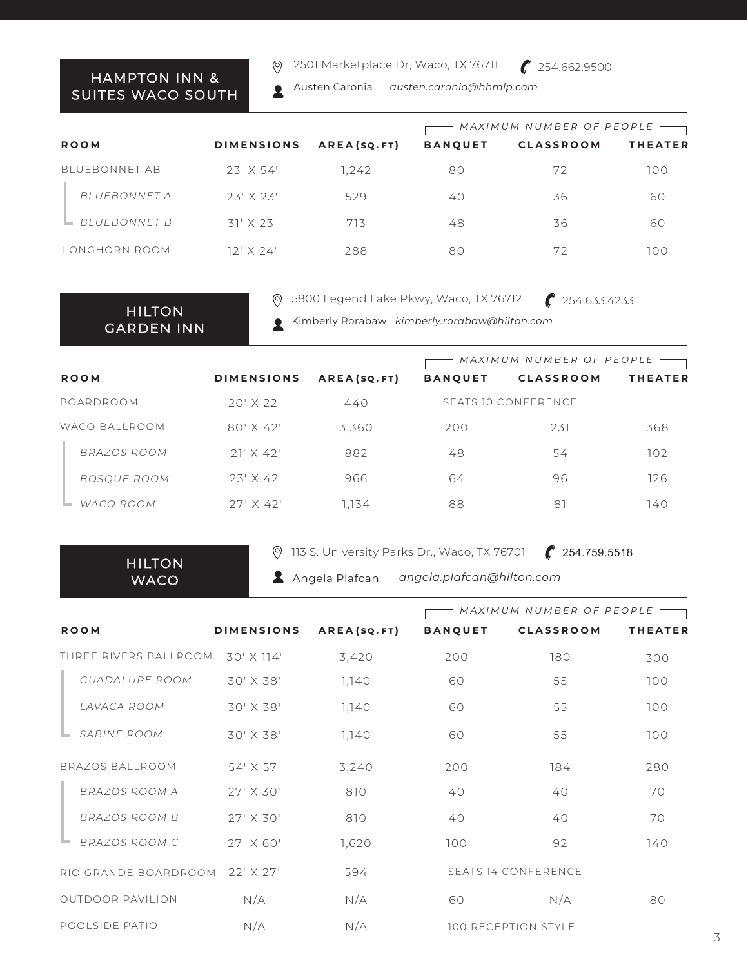#### HAMPTON INN & SUITES WACO SOUTH

2501 Marketplace Dr, Waco, TX 76711  $\circledcirc$ 



Austen Caronia *austen.caronia@hhmlp.com* 2

|                      |                      |                                       | MAXIMUM NUMBER OF PEOPLE |                             |                |  |
|----------------------|----------------------|---------------------------------------|--------------------------|-----------------------------|----------------|--|
| <b>ROOM</b>          | <b>DIMENSIONS</b>    | AREA(SQ.FT)                           | <b>BANQUET</b>           | <b>CLASSROOM</b>            | <b>THEATER</b> |  |
| <b>BLUEBONNET AB</b> | $23'$ X 54'          | 1,242                                 | 80                       | 72                          | 100            |  |
| BI UFBONNET A        | $23'$ $\times$ $23'$ | 529                                   | 40                       | 36                          | 60             |  |
| <b>BI UFBONNET B</b> | $31'$ X 23'          | 713                                   | 48                       | 36                          | 60             |  |
| LONGHORN ROOM        | $12'$ X 24'          | 288                                   | 80                       | 72                          | 100            |  |
|                      |                      |                                       |                          |                             |                |  |
|                      | $\circ$              | 5800 Legend Lake Pkwy, Waco, TX 76712 |                          | $\binom{1}{1}$ 254.633.4233 |                |  |

HILTON GARDEN INN 5800 Legend Lake Pkwy, Waco, TX 76712

Kimberly Rorabaw *kimberly.rorabaw@hilton.com* 2

|                  |                   |             | MAXIMUM NUMBER OF PEOPLE |                     |                |
|------------------|-------------------|-------------|--------------------------|---------------------|----------------|
| <b>ROOM</b>      | <b>DIMENSIONS</b> | AREA(SQ.FT) | <b>BANQUET</b>           | <b>CLASSROOM</b>    | <b>THEATER</b> |
| <b>BOARDROOM</b> | $20'$ X $22'$     | 440         |                          | SEATS 10 CONFERENCE |                |
| WACO BALLROOM    | $80'$ X 42'       | 3,360       | 200                      | 231                 | 368            |
| BRAZOS ROOM      | $21' \times 42'$  | 882         | 48                       | 54                  | 102            |
| BOSQUE ROOM      | $23'$ X 42'       | 966         | 64                       | 96                  | 126            |
| WACO ROOM        | $27'$ X 42'       | 1.134       | 88                       | 81                  | 140            |

HILTON **WACO** 

POOLSIDE PATIO

113 S. University Parks Dr., Waco, TX 76701

 $\binom{254.759.5518}{ }$ 

Angela Plafcan *angela.plafcan@hilton.com*

**ROOM DIMENSIONS A R E A ( sq.ft ) BANQUET CLASSROOM THEATER** LAVACA ROOM 30' X 38' 1,140 60 55 100 SABINE ROOM 30' X 38' 1,140 60 55 100 GUADALUPE ROOM 30' X 38' 1,140 60 55 100 THREE RIVERS BALLROOM 30' X 114' 3,420 200 180 300 300 OUTDOOR PAVILION N/A N/A 60 RIO GRANDE BOARDROOM 22' X 27' 594 SEATS 14 CONFERENCE N/A 80 BRAZOS BALLROOM BRAZOS ROOM B BRAZOS ROOM A BRAZOS ROOM C 3,240 810 810 1,620 54' X 57' 27' X 30' 27' X 30' 27' X 60' 200 40 40 100 184 40 40 92 280 70 70 140 MAXIMUM NUMBER OF PEOPLE

N/A

100 RECEPTION STYLE

N/A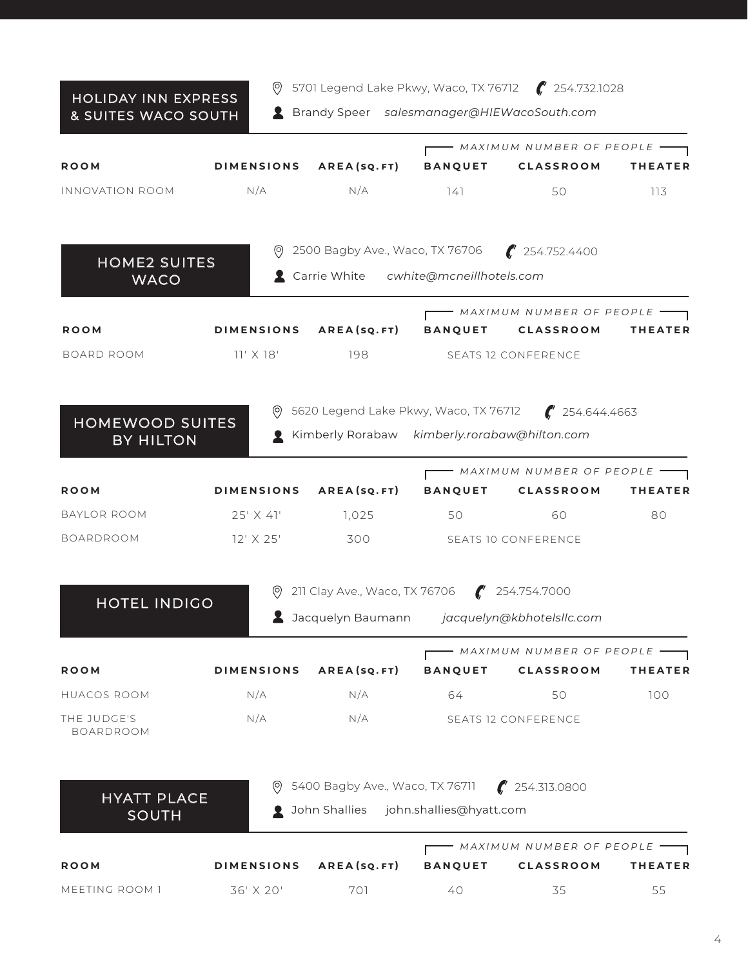#### HOLIDAY INN EXPRESS & SUITES WACO SOUTH

5701 Legend Lake Pkwy, Waco, TX 76712 254.732.1028

Brandy Speer *salesmanager@HIEWacoSouth.com*

|                                            |                        |                                                                                   |                                               | MAXIMUM NUMBER OF PEOPLE                                             |                |
|--------------------------------------------|------------------------|-----------------------------------------------------------------------------------|-----------------------------------------------|----------------------------------------------------------------------|----------------|
| <b>ROOM</b>                                |                        |                                                                                   |                                               | DIMENSIONS AREA(SQ.FT) BANQUET CLASSROOM                             | <b>THEATER</b> |
| INNOVATION ROOM                            | N/A                    | N/A                                                                               | 141                                           | 50                                                                   | 113            |
|                                            |                        | 2500 Bagby Ave., Waco, TX 76706                                                   |                                               | $\binom{4}{1}$ 254.752.4400                                          |                |
| <b>HOME2 SUITES</b><br><b>WACO</b>         |                        | Carrie White cwhite@mcneillhotels.com                                             |                                               |                                                                      |                |
| <b>ROOM</b>                                |                        |                                                                                   |                                               | MAXIMUM NUMBER OF PEOPLE<br>DIMENSIONS AREA(SQ.FT) BANQUET CLASSROOM | <b>THEATER</b> |
| BOARD ROOM                                 | $11' \times 18'$       |                                                                                   | 198 SEATS 12 CONFERENCE                       |                                                                      |                |
|                                            |                        |                                                                                   |                                               | <b>9</b> 5620 Legend Lake Pkwy, Waco, TX 76712 <b>(</b> 254.644.4663 |                |
| <b>HOMEWOOD SUITES</b><br><b>BY HILTON</b> |                        | Kimberly Rorabaw kimberly.rorabaw@hilton.com                                      |                                               |                                                                      |                |
|                                            |                        |                                                                                   |                                               | MAXIMUM NUMBER OF PEOPLE                                             |                |
| <b>ROOM</b>                                |                        |                                                                                   |                                               | DIMENSIONS AREA(SQ.FT) BANQUET CLASSROOM                             | <b>THEATER</b> |
| BAYLOR ROOM                                | 25' X 41'              | 1,025                                                                             | 50                                            | 60                                                                   | 80             |
| <b>BOARDROOM</b>                           | 12' X 25'              |                                                                                   | 300 SEATS 10 CONFERENCE                       |                                                                      |                |
| <b>HOTEL INDIGO</b>                        |                        | 211 Clay Ave., Waco, TX 76706 (254.754.7000                                       |                                               |                                                                      |                |
|                                            |                        |                                                                                   | 2 Jacquelyn Baumann jacquelyn@kbhotelsllc.com |                                                                      |                |
|                                            |                        |                                                                                   |                                               | - MAXIMUM NUMBER OF PEOPLE                                           |                |
| <b>ROOM</b>                                | DIMENSIONS AREA(SQ.FT) |                                                                                   |                                               | BANQUET CLASSROOM                                                    | <b>THEATER</b> |
| <b>HUACOS ROOM</b>                         | N/A                    | N/A                                                                               | 64                                            | 50                                                                   | 100            |
| THE JUDGE'S<br><b>BOARDROOM</b>            | N/A                    | N/A                                                                               |                                               | <b>SEATS 12 CONFERENCE</b>                                           |                |
|                                            |                        |                                                                                   |                                               |                                                                      |                |
| <b>HYATT PLACE</b><br><b>SOUTH</b>         | $\circ$                | 5400 Bagby Ave., Waco, TX 76711<br><b>Q</b> John Shallies john.shallies@hyatt.com |                                               | $\frac{1}{2}$ 254.313.0800                                           |                |
|                                            |                        |                                                                                   |                                               | $\blacksquare$ MAXIMUM NUMBER OF PEOPLE $\blacksquare$               |                |
| <b>ROOM</b>                                | <b>DIMENSIONS</b>      | AREA(SQ.FT)                                                                       | <b>BANQUET</b>                                | <b>CLASSROOM</b>                                                     | THEATER        |
| MEETING ROOM 1                             | 36' X 20'              | 701                                                                               | 40                                            | 35                                                                   | 55             |